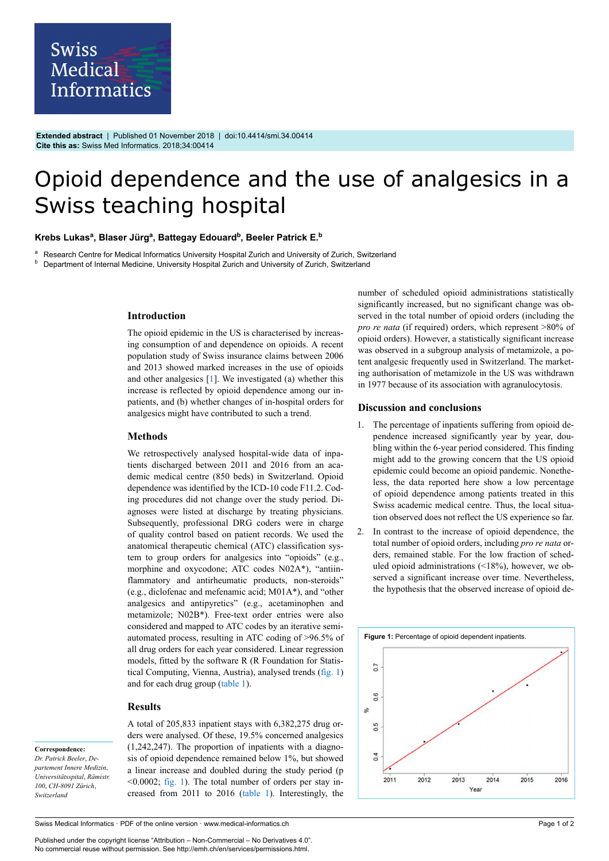

**Extended abstract** | Published 01 November 2018 | doi:10.4414/smi.34.00414 **Cite this as:** Swiss Med Informatics. 2018;34:00414

# Opioid dependence and the use of analgesics in a Swiss teaching hospital

#### **Krebs Lukas<sup>a</sup> , Blaser Jürg<sup>a</sup> , Battegay Edouard<sup>b</sup> , Beeler Patrick E.<sup>b</sup>**

<sup>a</sup> Research Centre for Medical Informatics University Hospital Zurich and University of Zurich, Switzerland<br>**b** Department of Internal Medicine, University Hospital Zurich and University of Zurich, Switzerland

<sup>b</sup> Department of Internal Medicine, University Hospital Zurich and University of Zurich, Switzerland

## **Introduction**

The opioid epidemic in the US is characterised by increasing consumption of and dependence on opioids. A recent population study of Swiss insurance claims between 2006 and 2013 showed marked increases in the use of opioids and other analgesics [[1](#page-1-0)]. We investigated (a) whether this increase is reflected by opioid dependence among our inpatients, and (b) whether changes of in-hospital orders for analgesics might have contributed to such a trend.

## **Methods**

We retrospectively analysed hospital-wide data of inpatients discharged between 2011 and 2016 from an academic medical centre (850 beds) in Switzerland. Opioid dependence was identified by the ICD-10 code F11.2. Coding procedures did not change over the study period. Diagnoses were listed at discharge by treating physicians. Subsequently, professional DRG coders were in charge of quality control based on patient records. We used the anatomical therapeutic chemical (ATC) classification system to group orders for analgesics into "opioids" (e.g., morphine and oxycodone; ATC codes N02A\*), "antiinflammatory and antirheumatic products, non-steroids" (e.g., diclofenac and mefenamic acid; M01A\*), and "other analgesics and antipyretics" (e.g., acetaminophen and metamizole; N02B\*). Free-text order entries were also considered and mapped to ATC codes by an iterative semiautomated process, resulting in ATC coding of >96.5% of all drug orders for each year considered. Linear regression models, fitted by the software R (R Foundation for Statistical Computing, Vienna, Austria), analysed trends ([fig. 1\)](#page-0-0) and for each drug group [\(table 1\)](#page-1-1).

## **Results**

<span id="page-0-0"></span>**Correspondence:** *Dr. Patrick Beeler*, *Departement Innere Medizin*, *Universitätsspital*, *Rämistr. 100*, *CH-8091 Zürich*, *Switzerland*

A total of 205,833 inpatient stays with 6,382,275 drug orders were analysed. Of these, 19.5% concerned analgesics (1,242,247). The proportion of inpatients with a diagnosis of opioid dependence remained below 1%, but showed a linear increase and doubled during the study period (p  $\leq 0.0002$ ; [fig. 1](#page-0-0)). The total number of orders per stay increased from 2011 to 2016 [\(table 1\)](#page-1-1). Interestingly, the

Swiss Medical Informatics · PDF of the online version · www.medical-informatics.ch

Published under the copyright license "Attribution – Non-Commercial – No Derivatives 4.0". No commercial reuse without permission. See http://emh.ch/en/services/permissions.html.

number of scheduled opioid administrations statistically significantly increased, but no significant change was observed in the total number of opioid orders (including the *pro re nata* (if required) orders, which represent >80% of opioid orders). However, a statistically significant increase was observed in a subgroup analysis of metamizole, a potent analgesic frequently used in Switzerland. The marketing authorisation of metamizole in the US was withdrawn in 1977 because of its association with agranulocytosis.

# **Discussion and conclusions**

- 1. The percentage of inpatients suffering from opioid dependence increased significantly year by year, doubling within the 6-year period considered. This finding might add to the growing concern that the US opioid epidemic could become an opioid pandemic. Nonetheless, the data reported here show a low percentage of opioid dependence among patients treated in this Swiss academic medical centre. Thus, the local situation observed does not reflect the US experience so far.
- 2. In contrast to the increase of opioid dependence, the total number of opioid orders, including *pro re nata* orders, remained stable. For the low fraction of scheduled opioid administrations (<18%), however, we observed a significant increase over time. Nevertheless, the hypothesis that the observed increase of opioid de-